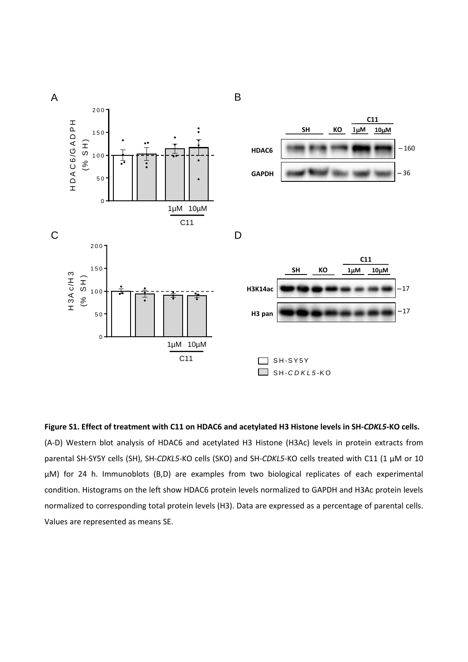

**Figure S1. Effect of treatment with C11 on HDAC6 and acetylated H3 Histone levels in SH-***CDKL5***-KO cells.** (A-D) Western blot analysis of HDAC6 and acetylated H3 Histone (H3Ac) levels in protein extracts from parental SH-SY5Y cells (SH), SH-*CDKL5*-KO cells (SKO) and SH-*CDKL5*-KO cells treated with C11 (1 µM or 10 µM) for 24 h. Immunoblots (B,D) are examples from two biological replicates of each experimental condition. Histograms on the left show HDAC6 protein levels normalized to GAPDH and H3Ac protein levels normalized to corresponding total protein levels (H3). Data are expressed as a percentage of parental cells. Values are represented as means SE.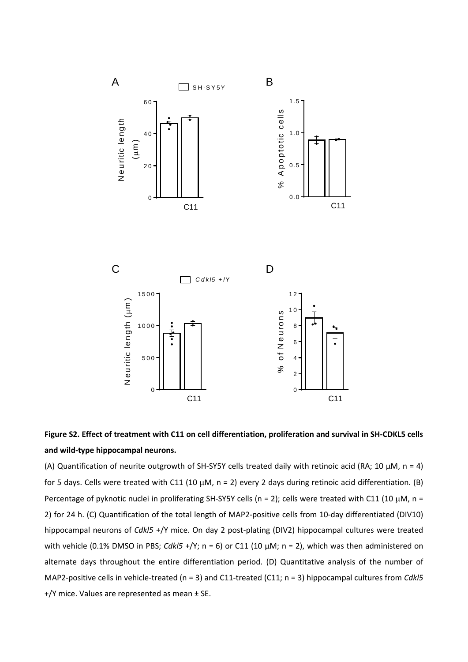

## **Figure S2. Effect of treatment with C11 on cell differentiation, proliferation and survival in SH-CDKL5 cells and wild-type hippocampal neurons.**

(A) Quantification of neurite outgrowth of SH-SY5Y cells treated daily with retinoic acid (RA; 10 μM, n = 4) for 5 days. Cells were treated with C11 (10  $\mu$ M, n = 2) every 2 days during retinoic acid differentiation. (B) Percentage of pyknotic nuclei in proliferating SH-SY5Y cells (n = 2); cells were treated with C11 (10  $\mu$ M, n = 2) for 24 h. (C) Quantification of the total length of MAP2-positive cells from 10-day differentiated (DIV10) hippocampal neurons of *Cdkl5* +/Y mice. On day 2 post-plating (DIV2) hippocampal cultures were treated with vehicle (0.1% DMSO in PBS; *Cdkl5* +/Y; n = 6) or C11 (10  $\mu$ M; n = 2), which was then administered on alternate days throughout the entire differentiation period. (D) Quantitative analysis of the number of MAP2-positive cells in vehicle-treated (n = 3) and C11-treated (C11; n = 3) hippocampal cultures from *Cdkl5* +/Y mice. Values are represented as mean ± SE.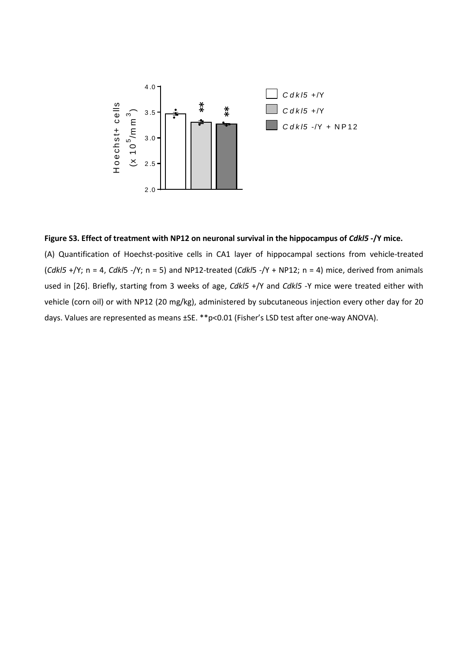

## Figure S3. Effect of treatment with NP12 on neuronal survival in the hippocampus of *Cdkl5* -/Y mice.

(A) Quantification of Hoechst-positive cells in CA1 layer of hippocampal sections from vehicle-treated (*Cdkl5* +/Y; n = 4, *Cdkl*5 -/Y; n = 5) and NP12-treated (*Cdkl*5 -/Y + NP12; n = 4) mice, derived from animals used in [26]. Briefly, starting from 3 weeks of age, *Cdkl5* +/Y and *Cdkl5* -Y mice were treated either with vehicle (corn oil) or with NP12 (20 mg/kg), administered by subcutaneous injection every other day for 20 days. Values are represented as means ±SE. \*\*p<0.01 (Fisher's LSD test after one-way ANOVA).